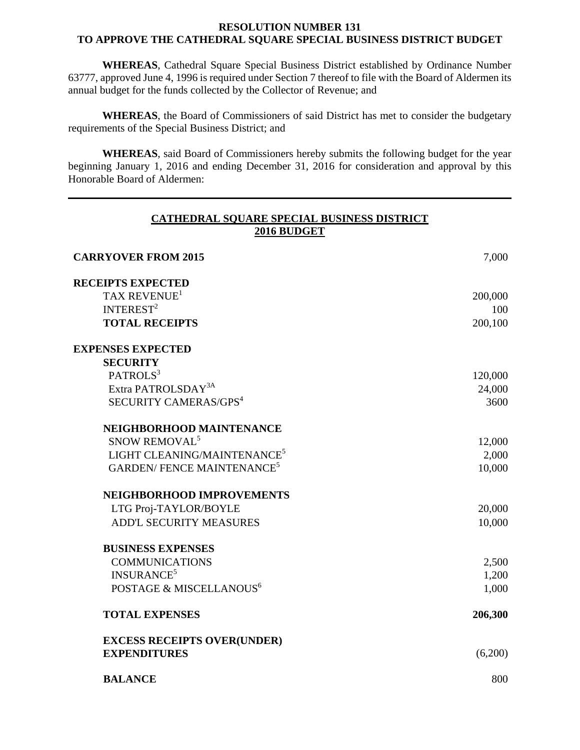## **RESOLUTION NUMBER 131 TO APPROVE THE CATHEDRAL SQUARE SPECIAL BUSINESS DISTRICT BUDGET**

**WHEREAS**, Cathedral Square Special Business District established by Ordinance Number 63777, approved June 4, 1996 is required under Section 7 thereof to file with the Board of Aldermen its annual budget for the funds collected by the Collector of Revenue; and

**WHEREAS**, the Board of Commissioners of said District has met to consider the budgetary requirements of the Special Business District; and

**WHEREAS**, said Board of Commissioners hereby submits the following budget for the year beginning January 1, 2016 and ending December 31, 2016 for consideration and approval by this Honorable Board of Aldermen:

| CATHEDRAL SQUARE SPECIAL BUSINESS DISTRICT<br>2016 BUDGET |         |
|-----------------------------------------------------------|---------|
| <b>CARRYOVER FROM 2015</b>                                | 7,000   |
| <b>RECEIPTS EXPECTED</b>                                  |         |
| TAX REVENUE <sup>1</sup>                                  | 200,000 |
| INTEREST <sup>2</sup>                                     | 100     |
| <b>TOTAL RECEIPTS</b>                                     | 200,100 |
| <b>EXPENSES EXPECTED</b>                                  |         |
| <b>SECURITY</b>                                           |         |
| PATROLS <sup>3</sup>                                      | 120,000 |
| Extra PATROLSDAY <sup>3A</sup>                            | 24,000  |
| SECURITY CAMERAS/GPS <sup>4</sup>                         | 3600    |
| NEIGHBORHOOD MAINTENANCE                                  |         |
| SNOW REMOVAL <sup>5</sup>                                 | 12,000  |
| LIGHT CLEANING/MAINTENANCE <sup>5</sup>                   | 2,000   |
| <b>GARDEN/FENCE MAINTENANCE<sup>5</sup></b>               | 10,000  |
| NEIGHBORHOOD IMPROVEMENTS                                 |         |
| LTG Proj-TAYLOR/BOYLE                                     | 20,000  |
| <b>ADD'L SECURITY MEASURES</b>                            | 10,000  |
| <b>BUSINESS EXPENSES</b>                                  |         |
| <b>COMMUNICATIONS</b>                                     | 2,500   |
| <b>INSURANCE<sup>5</sup></b>                              | 1,200   |
| POSTAGE & MISCELLANOUS <sup>6</sup>                       | 1,000   |
| <b>TOTAL EXPENSES</b>                                     | 206,300 |
| <b>EXCESS RECEIPTS OVER(UNDER)</b>                        |         |
| <b>EXPENDITURES</b>                                       | (6,200) |
| <b>BALANCE</b>                                            | 800     |